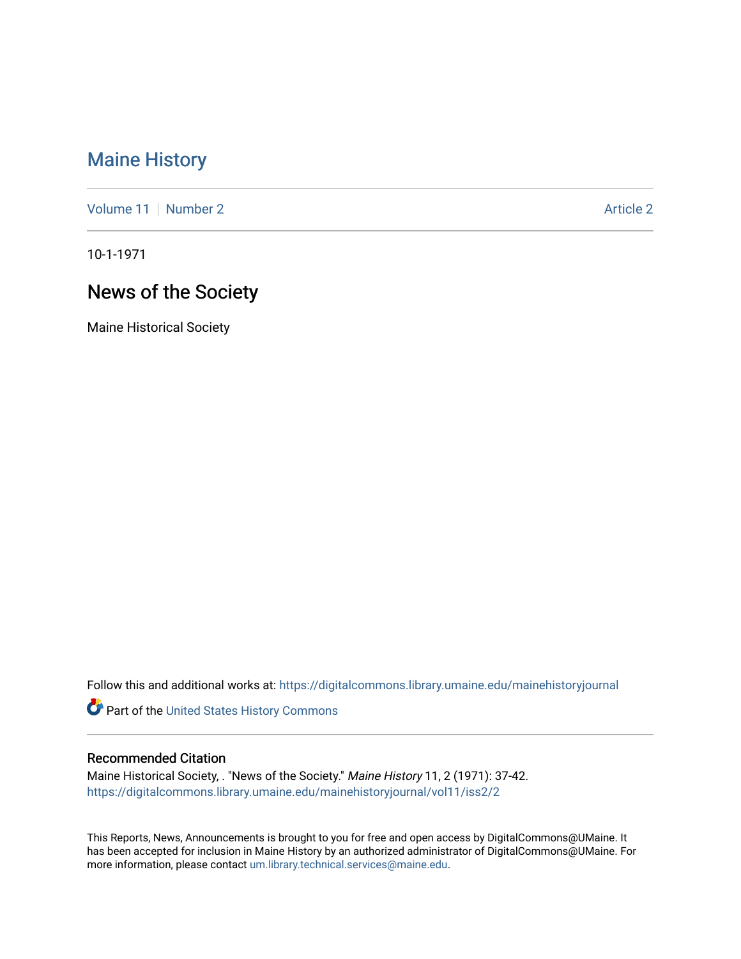## [Maine History](https://digitalcommons.library.umaine.edu/mainehistoryjournal)

[Volume 11](https://digitalcommons.library.umaine.edu/mainehistoryjournal/vol11) [Number 2](https://digitalcommons.library.umaine.edu/mainehistoryjournal/vol11/iss2) Article 2

10-1-1971

# News of the Society

Maine Historical Society

Follow this and additional works at: [https://digitalcommons.library.umaine.edu/mainehistoryjournal](https://digitalcommons.library.umaine.edu/mainehistoryjournal?utm_source=digitalcommons.library.umaine.edu%2Fmainehistoryjournal%2Fvol11%2Fiss2%2F2&utm_medium=PDF&utm_campaign=PDFCoverPages) 

Part of the [United States History Commons](http://network.bepress.com/hgg/discipline/495?utm_source=digitalcommons.library.umaine.edu%2Fmainehistoryjournal%2Fvol11%2Fiss2%2F2&utm_medium=PDF&utm_campaign=PDFCoverPages) 

#### Recommended Citation

Maine Historical Society, . "News of the Society." Maine History 11, 2 (1971): 37-42. [https://digitalcommons.library.umaine.edu/mainehistoryjournal/vol11/iss2/2](https://digitalcommons.library.umaine.edu/mainehistoryjournal/vol11/iss2/2?utm_source=digitalcommons.library.umaine.edu%2Fmainehistoryjournal%2Fvol11%2Fiss2%2F2&utm_medium=PDF&utm_campaign=PDFCoverPages)

This Reports, News, Announcements is brought to you for free and open access by DigitalCommons@UMaine. It has been accepted for inclusion in Maine History by an authorized administrator of DigitalCommons@UMaine. For more information, please contact [um.library.technical.services@maine.edu](mailto:um.library.technical.services@maine.edu).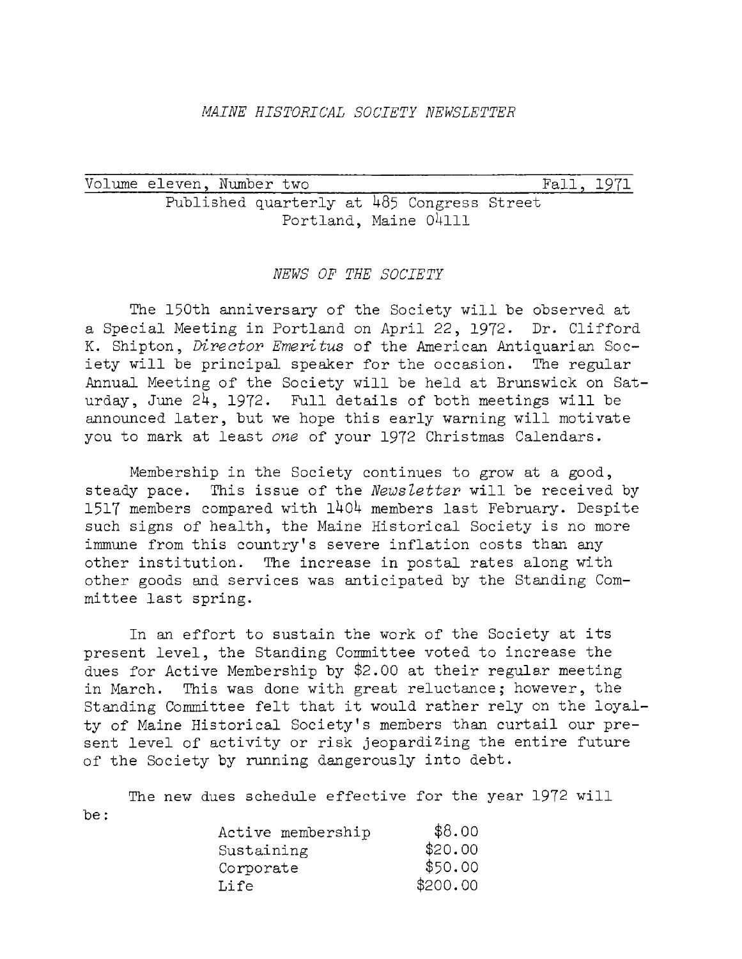#### *MAINE HISTORICAL SOCIETY NEWSLETTER*

Volume eleven, Number two\_\_\_\_\_\_\_\_\_\_\_\_\_\_\_\_\_\_\_\_\_\_\_\_\_\_\_\_\_ Fall, <sup>1971</sup> Published quarterly at 485 Congress Street Portland, Maine 04111

#### *NEWS OF THE SOCIETY*

The 150th anniversary of the Society will be observed at a Special Meeting in Portland on April 22, 1972. Dr. Clifford K. Shipton, *Director Emeritus* of the American Antiquarian Society will be principal speaker for the occasion. Annual Meeting of the Society will be held at Brunswick on Saturday, June  $24$ , 1972. Full details of both meetings will be announced later, but we hope this early warning will motivate you to mark at least *one* of your 1972 Christmas Calendars.

Membership in the Society continues to grow at a good, steady pace. This issue of the *Newsletter* will be received by 1517 members compared with 1404 members last February. Despite such signs of health, the Maine Historical Society is no more immune from this country'<sup>s</sup> severe inflation costs than any other institution. The increase in postal rates along with other goods and services was anticipated by the Standing Committee last spring.

In an effort to sustain the work of the Society at its present level, the Standing Committee voted to increase the dues for Active Membership by \$2.00 at their regular meeting in March. This was done with great reluctance; however, the Standing Committee felt that it would rather rely on the loyalty of Maine Historical Society'<sup>s</sup> members than curtail our present level of activity or risk jeopardizing the entire future of the Society by running dangerously into debt.

The new dues schedule effective for the year <sup>1972</sup> will be:

| \$8.00   |
|----------|
| \$20.00  |
| \$50.00  |
| \$200.00 |
|          |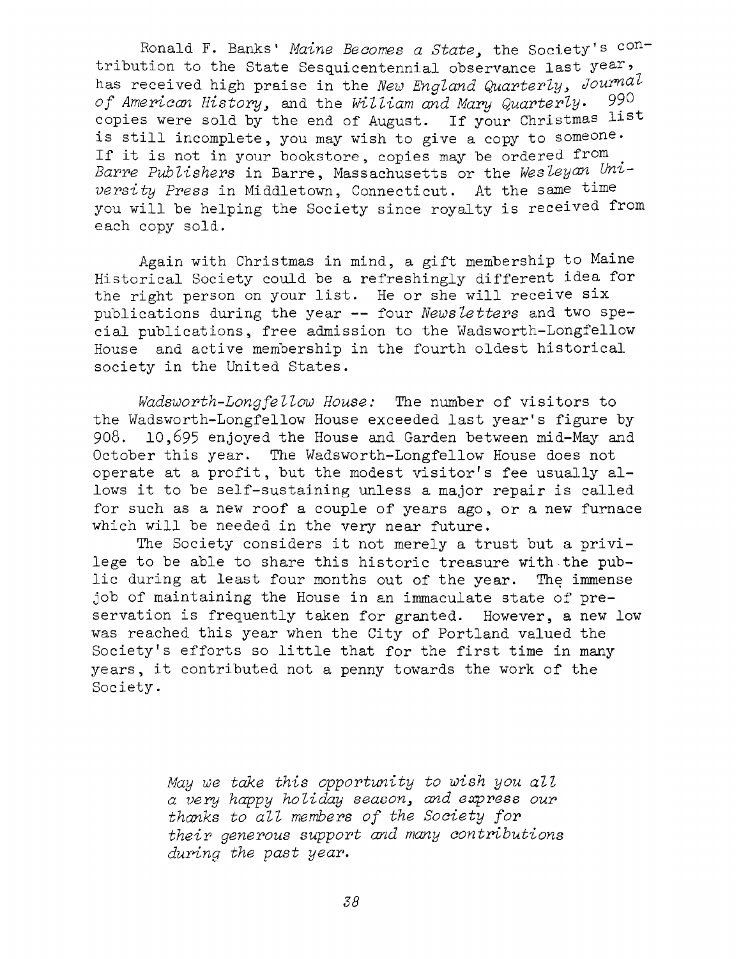Ronald F. Banks' *Maine Becomes a State*, the Society's contribution to the State Sesquicentennial observance last year, has received high praise in the *New England Quarterly<sup>&</sup>gt; Journal of American History^* and the *William and Mary Quarterly• 99®* copies were sold by the end of August. If your Christmas list is still incomplete, you may wish to give <sup>a</sup> copy to someone. If it is not in your bookstore, copies may be ordered from *Barre Publishers* in Barre, Massachusetts or the *Wesleyan University Press* in Middletown, Connecticut. At the same time you will be helping the Society since royalty is received from each copy sold.

Again with Christmas in mind, <sup>a</sup> gift membership to Maine Historical Society could be a refreshingly different idea for the right person on your list. He or she will receive six publications during the year — four *Newsletters* and two special publications, free admission to the Wadsworth-Longfellow House and active membership in the fourth oldest historical society in the United States.

*Wadsworth-Longfellow House:* The number of visitors to the Wadsworth-Longfellow House exceeded last year'<sup>s</sup> figure by 908. 10,695 enjoyed the House and Garden between mid-May and October this year. The Wadsworth-Longfellow House does not operate at <sup>a</sup> profit, but the modest visitor's fee usually allows it to be self-sustaining unless <sup>a</sup> major repair is called for such as a new roof a couple of years ago, or <sup>a</sup> new furnace which will be needed in the very near future.

The Society considers it not merely <sup>a</sup> trust but <sup>a</sup> privilege to be able to share this historic treasure with the public during at least four months out of the year. The immense job of maintaining the House in an immaculate state of preservation is frequently taken for granted. However, <sup>a</sup> new low was reached this year when the City of Portland valued the Society's efforts so little that for the first time in many years, it contributed not <sup>a</sup> penny towards the work of the Society.

> *May we take this opportunity to wish you all a very happy holiday season, and express our thanks to all members of the Society for their generous support and many contributions during the past year.*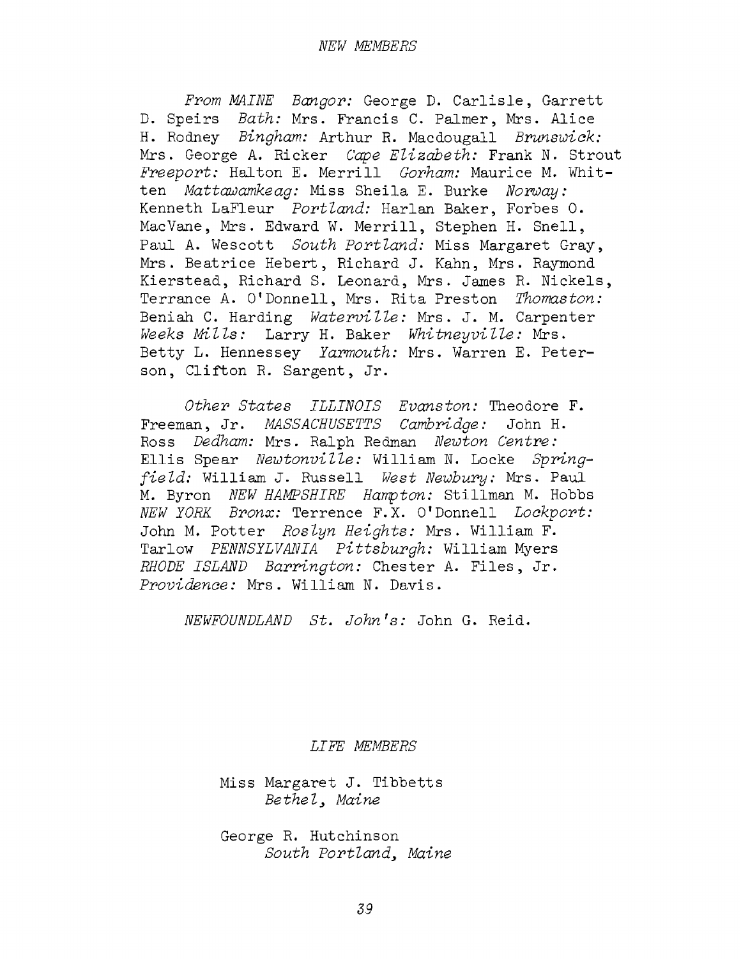*From MAINE Bangor:* George D. Carlisle, Garrett D. Speirs *Bath:* Mrs. Francis C. Palmer, Mrs. Alice H. Rodney *Bingham:* Arthur R. Macdougall *Brunswick:* Mrs. George A. Ricker *Cape Elizabeth:* Frank N. Strout *Freeport:* Halton E. Merrill *Gorham:* Maurice M. Whitten *Mattawamkeag:* Miss Sheila E. Burke *Norway:* Kenneth LaFleur *Portland:* Harlan Baker, Forbes 0. MacVane, Mrs. Edward W. Merrill, Stephen H. Snell, Paul A. Wescott *South Portland:* Miss Margaret Gray, Mrs. Beatrice Hebert, Richard J. Kahn, Mrs. Raymond Kierstead, Richard S. Leonard, Mrs. James R. Nickels, Terrance A. O'Donnell, Mrs. Rita Preston *Thomaston:* Beniah C. Harding *Waterville:* Mrs. J. M. Carpenter *Weeks Mills:* Larry H. Baker *Whitneyvi lie:* Mrs. Betty L. Hennessey *Yarmouth:* Mrs. Warren E. Peterson, Clifton R. Sargent, Jr.

*Other States ILLINOIS Evanston:* Theodore F. Freeman, Jr. *MASSACHUSETTS Cambridge:* John H. Ross *Dedham:* Mrs. Ralph Redman *Newton Centre:* Ellis Spear *Newtonvilie:* William N. Locke *Springfield:* William J. Russell *West Newbury:* Mrs. Paul M. Byron *NEW HAMPSHIRE Hampton:* Stillman M. Hobbs *NEW YORK Bronx:* Terrence F.X. O'Donnell *Lockport:* John M. Potter *Roslyn Heights:* Mrs. William F. Tarlow *PENNSYLVANIA Pittsburgh:* William Myers *RHODE ISLAND Barrington:* Chester A. Files, Jr. *Providence:* Mrs. William N. Davis.

*NEWFOUNDLAND St. John's:* John G. Reid.

*LIFE MEMBERS*

Miss Margaret J. Tibbetts *Bethel, Maine*

George R. Hutchinson *South Portland, Maine*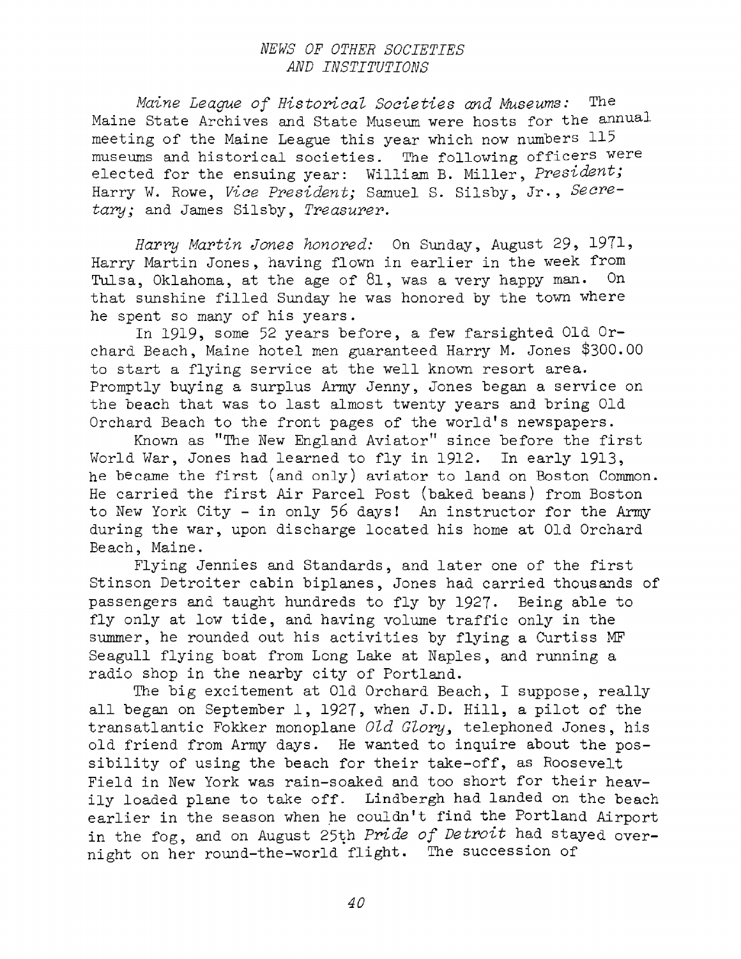### *NEWS OF OTHER SOCIETIES AND INSTITUTIONS*

*Maine League of Historical Societies and Museums:* The Maine State Archives and State Museum were hosts for the annual meeting of the Maine League this year which now numbers <sup>115</sup> museums and historical societies. The following officers were elected for the ensuing year: William B. Miller, *President;* Harry W. Rowe, *Vice President;* Samuel S. Silsby, Jr., *Secretary;* and James Silsby, *Treasurer.*

*Harry Martin Jones honored:* On Sunday, August 29, 1971, Harry Martin Jones, having flown in earlier in the week from Tulsa, Oklahoma, at the age of 81, was <sup>a</sup> very happy man. On that sunshine filled Sunday he was honored by the town where he spent so many of his years.

In 1919, some <sup>52</sup> years before, a few farsighted Old Orchard Beach, Maine hotel men guaranteed Harry M. Jones \$300.00 to start <sup>a</sup> flying service at the well known resort area. Promptly buying a surplus Army Jenny, Jones began a service on the beach that was to last almost twenty years and bring Old Orchard Beach to the front pages of the world'<sup>s</sup> newspapers.

Known as "The New England Aviator" since before the first World War, Jones had learned to fly in 1912. In early 1913, he became the first (and only) aviator to land on Boston Common. He carried the first Air Parcel Post (baked beans) from Boston to New York City - in only 56 days! An instructor for the Army during the war, upon discharge located his home at Old Orchard Beach, Maine.

Flying Jennies and Standards, and later one of the first Stinson Detroiter cabin biplanes, Jones had carried thousands of passengers and taught hundreds to fly by 1927. Being able to fly only at low tide, and having volume traffic only in the summer, he rounded out his activities by flying <sup>a</sup> Curtiss MF Seagull flying boat from Long Lake at Naples, and running a radio shop in the nearby city of Portland.

The big excitement at Old Orchard Beach, I suppose, really all began on September 1, 1927, when J.D. Hill, <sup>a</sup> pilot of the transatlantic Fokker monoplane *Old Glory,* telephoned Jones, his old friend from Army days. He wanted to inquire about the possibility of using the beach for their take-off, as Roosevelt Field in New York was rain-soaked and too short for their heavily loaded plane to take off. Lindbergh had landed on the beach earlier in the season when he couldn'<sup>t</sup> find the Portland Airport in the fog, and on August 25th *Pride of Detroit* had stayed overnight on her round-the-world flight. The succession of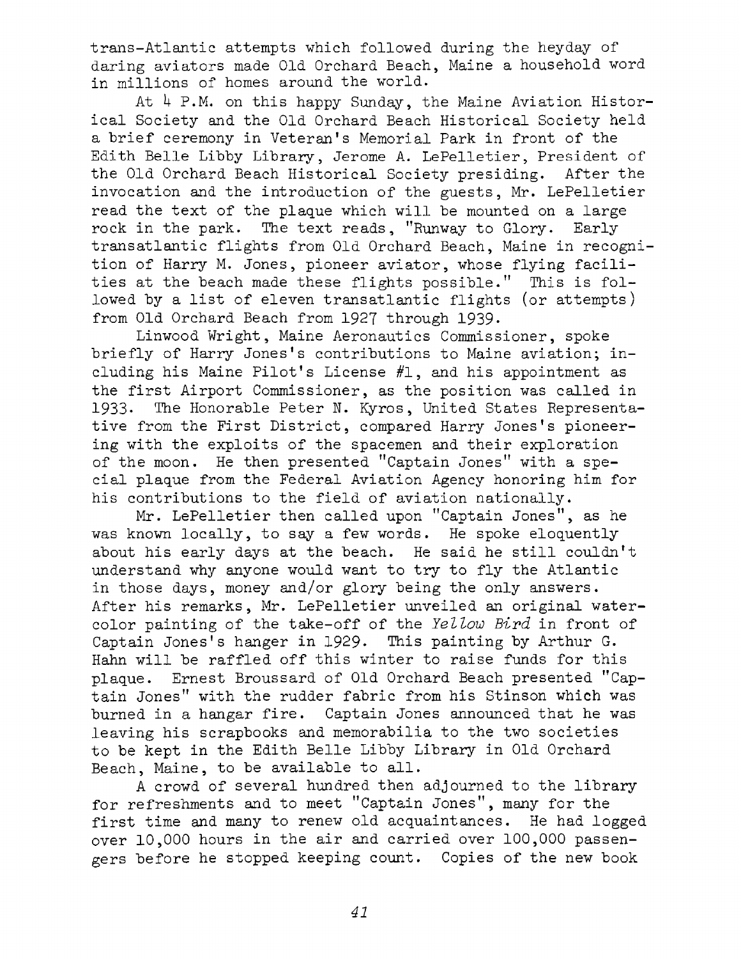trans-Atlantic attempts which followed during the heyday of daring aviators made Old Orchard Beach, Maine a household word in millions of homes around the world.

At  $4$  P.M. on this happy Sunday, the Maine Aviation Historical Society and the Old Orchard Beach Historical Society held <sup>a</sup> brief ceremony in Veteran'<sup>s</sup> Memorial Park in front of the Edith Belle Libby Library, Jerome A. LePelletier, President of the Old Orchard Beach Historical Society presiding. After the invocation and the introduction of the guests, Mr. LePelletier read the text of the plaque which will be mounted on <sup>a</sup> large rock in the park. The text reads, "Runway to Glory. Early transatlantic flights from Old Orchard Beach, Maine in recognition of Harry M. Jones, pioneer aviator, whose flying facilities at the beach made these flights possible." This is followed by <sup>a</sup> list of eleven transatlantic flights (or attempts) from Old Orchard Beach from 1927 through 1939.

Linwood Wright, Maine Aeronautics Commissioner, spoke briefly of Harry Jones'<sup>s</sup> contributions to Maine aviation; including his Maine Pilot'<sup>s</sup> License #1, and his appointment as the first Airport Commissioner, as the position was called in 1933. The Honorable Peter N. Kyros, United States Representative from the First District, compared Harry Jones'<sup>s</sup> pioneering with the exploits of the spacemen and their exploration of the moon. He then presented "Captain Jones" with a special plaque from the Federal Aviation Agency honoring him for his contributions to the field of aviation nationally.

Mr. LePelletier then called upon "Captain Jones", as he was known locally, to say <sup>a</sup> few words. He spoke eloquently about his early days at the beach. He said he still couldn'<sup>t</sup> understand why anyone would want to try to fly the Atlantic in those days, money and/or glory being the only answers. After his remarks, Mr. LePelletier unveiled an original watercolor painting of the take-off of the *Yellow Bird* in front of Captain Jones's hanger in 1929. This painting by Arthur G. Hahn will be raffled off this winter to raise funds for this plaque. Ernest Broussard of Old Orchard Beach presented "Captain Jones" with the rudder fabric from his Stinson which was burned in <sup>a</sup> hangar fire. Captain Jones announced that he was leaving his scrapbooks and memorabilia to the two societies to be kept in the Edith Belle Libby Library in Old Orchard Beach, Maine, to be available to all.

A crowd of several hundred then adjourned to the library for refreshments and to meet "Captain Jones", many for the first time and many to renew old acquaintances. He had logged over 10,000 hours in the air and carried over 100,000 passengers before he stopped keeping count. Copies of the new book

*41*